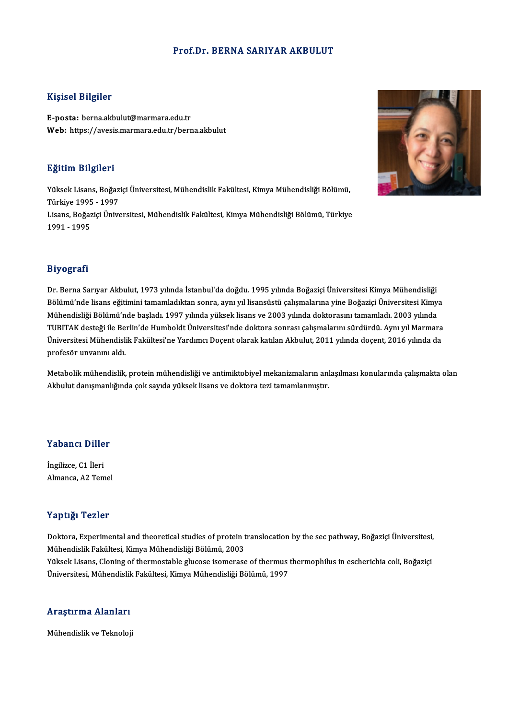### Prof.Dr. BERNA SARIYAR AKBULUT

### Kişisel Bilgiler

E-posta: berna.akbulut@marmara.edu.tr Web: https://avesis.marmara.edu.tr/berna.akbulut

### Eğitim Bilgileri

E**ğitim Bilgileri**<br>Yüksek Lisans, Boğaziçi Üniversitesi, Mühendislik Fakültesi, Kimya Mühendisliği Bölümü,<br>Türkiye 1995, 1997 21<br>1995 - Yüksek Lisans, Boğaz<br>Türkiye 1995 - 1997<br>Lisans, Boğazisi Ünive Türkiye 1995 - 1997<br>Lisans, Boğaziçi Üniversitesi, Mühendislik Fakültesi, Kimya Mühendisliği Bölümü, Türkiye 1991 -1995



Dr. Berna Sarıyar Akbulut, 1973 yılında İstanbul'da doğdu. 1995 yılında Boğaziçi Üniversitesi Kimya Mühendisliği Biy Oğrum<br>Dr. Berna Sarıyar Akbulut, 1973 yılında İstanbul'da doğdu. 1995 yılında Boğaziçi Üniversitesi Kimya Mühendisliği<br>Bölümü'nde lisans eğitimini tamamladıktan sonra, aynı yıl lisansüstü çalışmalarına yine Boğaziçi Ün Dr. Berna Sarıyar Akbulut, 1973 yılında İstanbul'da doğdu. 1995 yılında Boğaziçi Üniversitesi Kimya Mühendisliği<br>Bölümü'nde lisans eğitimini tamamladıktan sonra, aynı yıl lisansüstü çalışmalarına yine Boğaziçi Üniversitesi Bölümü'nde lisans eğitimini tamamladıktan sonra, aynı yıl lisansüstü çalışmalarına yine Boğaziçi Üniversitesi Kimya<br>Mühendisliği Bölümü'nde başladı. 1997 yılında yüksek lisans ve 2003 yılında doktorasını tamamladı. 2003 yı Mühendisliği Bölümü'nde başladı. 1997 yılında yüksek lisans ve 2003 yılında doktorasını tamamladı. 2003 yılında<br>TUBITAK desteği ile Berlin'de Humboldt Üniversitesi'nde doktora sonrası çalışmalarını sürdürdü. Aynı yıl Marma TUBITAK desteği ile Be<br>Üniversitesi Mühendisli<br>profesör unvanını aldı.

omversitesi Manenaisink'i aktikesi ne Tartamer Boçent olarak katılan Yıkbana, 2011 yılında toçent, 2010 yılında ta<br>profesör unvanını aldı.<br>Akhulut danışmanlığında çok çavda vülkçek lişans ve doktora teri tamamlanmıştır. protesor unvanını alalı.<br>Metabolik mühendislik, protein mühendisliği ve antimiktobiyel mekanizmaların anl<br>Akbulut danışmanlığında çok sayıda yüksek lisans ve doktora tezi tamamlanmıştır.

# .<br>Yabancı Diller

**Yabancı Dille<br>İngilizce, C1 İleri<br>Almanca, A2 Tam** ingilizce, C1 İleri<br>Almanca, A2 Temel

### Yaptığı Tezler

Yaptığı Tezler<br>Doktora, Experimental and theoretical studies of protein translocation by the sec pathway, Boğaziçi Üniversitesi,<br>Mühandislik Fakültesi, Kimya Mühandisliği Bölümü, 2002 Mühendislik Textor<br>Doktora, Experimental and theoretical studies of protein t<br>Mühendislik Fakültesi, Kimya Mühendisliği Bölümü, 2003<br>Vükaak Lisans, Claning of thermostable glusese isemeress Mühendislik Fakültesi, Kimya Mühendisliği Bölümü, 2003<br>Yüksek Lisans, Cloning of thermostable glucose isomerase of thermus thermophilus in escherichia coli, Boğaziçi

Üniversitesi, Mühendislik Fakültesi, Kimya Mühendisliği Bölümü, 1997

# oniversitesi, munentiisiik<br>Araştırma Alanları <mark>Araştırma Alanları</mark><br>Mühendislik ve Teknoloji

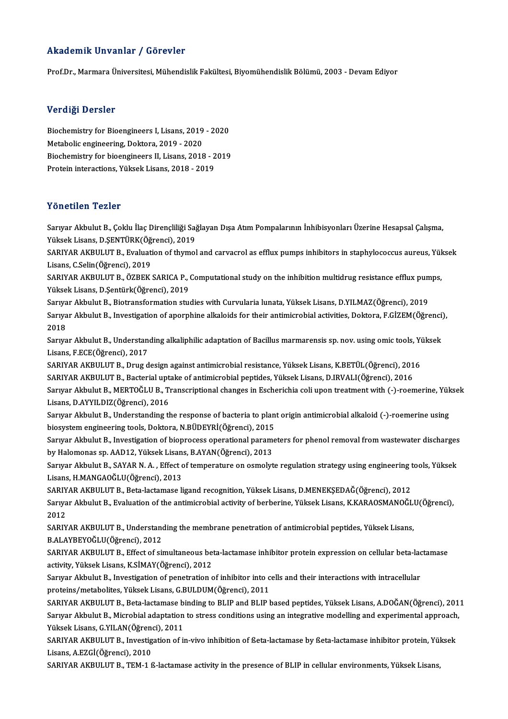### Akademik Unvanlar / Görevler

Prof.Dr., Marmara Üniversitesi, Mühendislik Fakültesi, Biyomühendislik Bölümü, 2003 - Devam Ediyor

### Verdiği Dersler

Verdiği Dersler<br>Biochemistry for Bioengineers I, Lisans, 2019 - 2020<br>Metabolis angineering, Dektore, 2010 - 2020 Metabolic engineering, Doktora, 2019<br>Metabolic engineering, Doktora, 2019 - 2020<br>Piechemistuu for bioongineera II Lisang, 2019 Biochemistry for Bioengineers I, Lisans, 2019 - 2020<br>Metabolic engineering, Doktora, 2019 - 2020<br>Biochemistry for bioengineers II, Lisans, 2018 - 2019<br>Pratain interactions, Vältask Lisans, 2018 - 2019 Metabolic engineering, Doktora, 2019 - 2020<br>Biochemistry for bioengineers II, Lisans, 2018 - 2<br>Protein interactions, Yüksek Lisans, 2018 - 2019 Protein interactions, Yüksek Lisans, 2018 - 2019<br>Yönetilen Tezler

Yö**netilen Tezler**<br>Sarıyar Akbulut B., Çoklu İlaç Dirençliliği Sağlayan Dışa Atım Pompalarının İnhibisyonları Üzerine Hesapsal Çalışma,<br>Yüksek Lisans, D.SENTÜRK(Öğrensi), 2019 Yüksek<br>Sarıyar Akbulut B., Çoklu İlaç Dirençliliği Sağ<br>Yüksek Lisans, D.ŞENTÜRK(Öğrenci), 2019<br>SARIYAR AKRULUT P., Evaluation of thumal Sarıyar Akbulut B., Çoklu İlaç Dirençliliği Sağlayan Dışa Atım Pompalarının İnhibisyonları Üzerine Hesapsal Çalışma,<br>Yüksek Lisans, D.ŞENTÜRK(Öğrenci), 2019<br>SARIYAR AKBULUT B., Evaluation of thymol and carvacrol as efflux

Yüksek Lisans, D.ŞENTÜRK(Öğ<br>SARIYAR AKBULUT B., Evaluati<br>Lisans, C.Selin(Öğrenci), 2019<br>SARIYAR AKRIJI UT B., ÖZREK SARIYAR AKBULUT B., Evaluation of thymol and carvacrol as efflux pumps inhibitors in staphylococcus aureus, Yül<br>Lisans, C.Selin(Öğrenci), 2019<br>SARIYAR AKBULUT B., ÖZBEK SARICA P., Computational study on the inhibition mult

Lisans, C.Selin(Öğrenci), 2019<br>SARIYAR AKBULUT B., ÖZBEK SARICA P., Computational study on the inhibition multidrug resistance efflux pumps,<br>Yüksek Lisans, D.Şentürk(Öğrenci), 2019 SARIYAR AKBULUT B., ÖZBEK SARICA P., Computational study on the inhibition multidrug resistance efflux pum<br>Yüksek Lisans, D.Şentürk(Öğrenci), 2019<br>Sarıyar Akbulut B., Biotransformation studies with Curvularia lunata, Yükse

Yüksek Lisans, D.Şentürk(Öğrenci), 2019<br>Sarıyar Akbulut B., Biotransformation studies with Curvularia lunata, Yüksek Lisans, D.YILMAZ(Öğrenci), 2019<br>Sarıyar Akbulut B., Investigation of aporphine alkaloids for their antimi Sariya<br>Sariya<br>2018 Sarıyar Akbulut B., Investigation of aporphine alkaloids for their antimicrobial activities, Doktora, F.GİZEM(Öğrenci),<br>2018<br>Sarıyar Akbulut B., Understanding alkaliphilic adaptation of Bacillus marmarensis sp. nov. using

Sarıyar Akbulut B., Understanding alkaliphilic adaptation of Bacillus marmarensis sp. nov. using omic tools, Yüksek Sarıyar Akbulut B., Understanding alkaliphilic adaptation of Bacillus marmarensis sp. nov. using omic tools, Yi<br>Lisans, F.ECE(Öğrenci), 2017<br>SARIYAR AKBULUT B., Drug design against antimicrobial resistance, Yüksek Lisans,

Lisans, F.ECE(Öğrenci), 2017<br>SARIYAR AKBULUT B., Drug design against antimicrobial resistance, Yüksek Lisans, K.BETÜL(Öğrenci), 201<br>SARIYAR AKBULUT B., Bacterial uptake of antimicrobial peptides, Yüksek Lisans, D.IRVALI(Öğ Sarıyar Akbulut B., MERTOĞLU B., Transcriptional changes in Escherichia coli upon treatment with (-)-roemerine, Yüksek<br>Lisans, D.AYYILDIZ(Öğrenci), 2016 SARIYAR AKBULUT B., Bacterial uptake of antimicrobial peptides, Yüksek Lisans, D.IRVALI(Öğrenci), 2016

Sarıyar Akbulut B., MERTOĞLU B., Transcriptional changes in Escherichia coli upon treatment with (-)-roemerine, Yük<br>Lisans, D.AYYILDIZ(Öğrenci), 2016<br>Sarıyar Akbulut B., Understanding the response of bacteria to plant orig Lisans, D.AYYILDIZ(Öğrenci), 2016<br>Sarıyar Akbulut B., Understanding the response of bacteria to plan<br>biosystem engineering tools, Doktora, N.BÜDEYRİ(Öğrenci), 2015<br>Sarurar Akbulut B., Investisation of bionnesses enerationa Sarıyar Akbulut B., Understanding the response of bacteria to plant origin antimicrobial alkaloid (-)-roemerine using<br>biosystem engineering tools, Doktora, N.BÜDEYRİ(Öğrenci), 2015<br>Sarıyar Akbulut B., Investigation of biop

biosystem engineering tools, Doktora, N.BÜDEYRİ(Öğrenci), 2015<br>Sarıyar Akbulut B., Investigation of bioprocess operational paramety<br>by Halomonas sp. AAD12, Yüksek Lisans, B.AYAN(Öğrenci), 2013<br>Sarvar Althulut B. SAYAR N.A. Sarıyar Akbulut B., Investigation of bioprocess operational parameters for phenol removal from wastewater discharges<br>by Halomonas sp. AAD12, Yüksek Lisans, B.AYAN(Öğrenci), 2013<br>Sarıyar Akbulut B., SAYAR N. A. , Effect of

by Halomonas sp. AAD12, Yüksek Lisans, B.AYAN(Öğrenci), 2013<br>Sarıyar Akbulut B., SAYAR N. A. , Effect of temperature on osmolyte regulation strategy using engineering tools, Yüksek<br>Lisans, H.MANGAOĞLU(Öğrenci), 2013 Sarıyar Akbulut B., SAYAR N. A. , Effect of temperature on osmolyte regulation strategy using engineering t<br>Lisans, H.MANGAOĞLU(Öğrenci), 2013<br>SARIYAR AKBULUT B., Beta-lactamase ligand recognition, Yüksek Lisans, D.MENEKŞE

Sarıyar Akbulut B., Evaluation of the antimicrobial activity of berberine, Yüksek Lisans, K.KARAOSMANOĞLU(Öğrenci),<br>2012 SARIY<br>Sarıya<br>2012<br>SARIY Sarıyar Akbulut B., Evaluation of the antimicrobial activity of berberine, Yüksek Lisans, K.KARAOSMANOĞL<br>2012<br>SARIYAR AKBULUT B., Understanding the membrane penetration of antimicrobial peptides, Yüksek Lisans,<br>B.ALAYREVOĞ

2012<br>SARIYAR AKBULUT B., Understand<br>B.ALAYBEYOĞLU(Öğrenci), 2012<br>SARIYAR AKBULUT B., Effect of sü SARIYAR AKBULUT B., Understanding the membrane penetration of antimicrobial peptides, Yüksek Lisans,<br>B.ALAYBEYOĞLU(Öğrenci), 2012<br>SARIYAR AKBULUT B., Effect of simultaneous beta-lactamase inhibitor protein expression on ce

B.ALAYBEYOĞLU(Öğrenci), 2012<br>SARIYAR AKBULUT B., Effect of simultaneous be<br>activity, Yüksek Lisans, K.SİMAY(Öğrenci), 2012<br>Saruar, Althulut B., Investigation of nonetration c SARIYAR AKBULUT B., Effect of simultaneous beta-lactamase inhibitor protein expression on cellular beta-lactivity, Yüksek Lisans, K.SİMAY(Öğrenci), 2012<br>Sarıyar Akbulut B., Investigation of penetration of inhibitor into ce

activity, Yüksek Lisans, K.SİMAY(Öğrenci), 2012<br>Sarıyar Akbulut B., Investigation of penetration of inhibitor into cells and their interactions with intracellular<br>proteins/metabolites, Yüksek Lisans, G.BULDUM(Öğrenci), 201 Sarıyar Akbulut B., Investigation of penetration of inhibitor into cells and their interactions with intracellular<br>proteins/metabolites, Yüksek Lisans, G.BULDUM(Öğrenci), 2011<br>SARIYAR AKBULUT B., Beta-lactamase binding to

proteins/metabolites, Yüksek Lisans, G.BULDUM(Öğrenci), 2011<br>SARIYAR AKBULUT B., Beta-lactamase binding to BLIP and BLIP based peptides, Yüksek Lisans, A.DOĞAN(Öğrenci), 201<br>Sarıyar Akbulut B., Microbial adaptation to stre SARIYAR AKBULUT B., Beta-lactamase b<br>Sarıyar Akbulut B., Microbial adaptation<br>Yüksek Lisans, G.YILAN(Öğrenci), 2011<br>SARIYAR AKBULUT B. Investigation of il Sarıyar Akbulut B., Microbial adaptation to stress conditions using an integrative modelling and experimental approach,<br>Yüksek Lisans, G.YILAN(Öğrenci), 2011

Lisans, A.EZGİ(Öğrenci), 2010<br>SARIYAR AKBULUT B., TEM-1 ß-lactamase activity in the presence of BLIP in cellular environments, Yüksek Lisans, SARIYAR AKBULUT B., Investigation of in-vivo inhibition of ßeta-lactamase by ßeta-lactamase inhibitor protein, Yüksek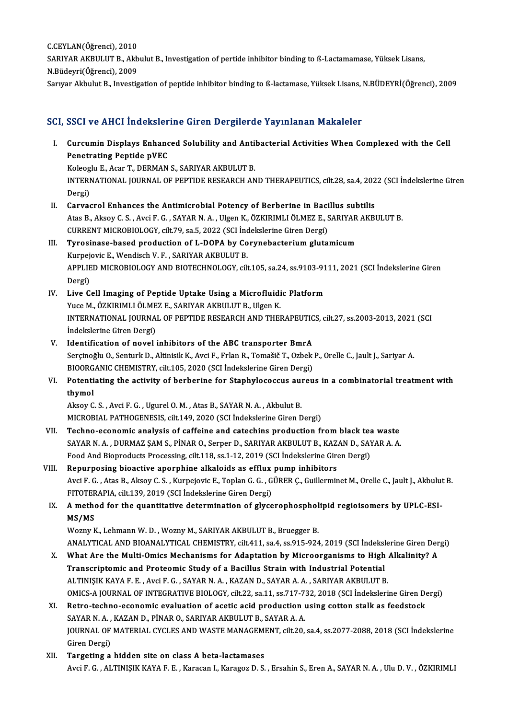C.CEYLAN(Öğrenci), 2010<br>C.CEYLAN(Öğrenci), 2010<br>SARIYAR AKRIH UT B. Alt

SARIYAR AKBULUT B., Akbulut B., Investigation of pertide inhibitor binding to ß-Lactamamase, Yüksek Lisans,<br>N.Büdeyri(Öğrenci), 2009 C.CEYLAN(Öğrenci), 2010<br>SARIYAR AKBULUT B., Akb<br>N.Büdeyri(Öğrenci), 2009<br>Sanyan Alshulut B. Javastia

Sarıyar Akbulut B., Investigation of peptide inhibitor binding to ß-lactamase, Yüksek Lisans, N.BÜDEYRİ(Öğrenci), 2009

### SCI, SSCI ve AHCI İndekslerine Giren Dergilerde Yayınlanan Makaleler

CI, SSCI ve AHCI İndekslerine Giren Dergilerde Yayınlanan Makaleler<br>I. Curcumin Displays Enhanced Solubility and Antibacterial Activities When Complexed with the Cell<br>Renetrating Pentide pVEC Curcumin Displays Enhance<br>Penetrating Peptide pVEC<br>Penetrating Peptide pVEC Curcumin Displays Enhanced Solubility and Antil<br>Penetrating Peptide pVEC<br>Koleoglu E., Acar T., DERMAN S., SARIYAR AKBULUT B.<br>INTERNATIONAL JOURNAL OF REPTIDE RESEARCH AN

Penetrating Peptide pVEC<br>Koleoglu E., Acar T., DERMAN S., SARIYAR AKBULUT B.<br>INTERNATIONAL JOURNAL OF PEPTIDE RESEARCH AND THERAPEUTICS, cilt.28, sa.4, 2022 (SCI İndekslerine Giren

- Koleog<br>INTERI<br>Dergi)<br>Caruse INTERNATIONAL JOURNAL OF PEPTIDE RESEARCH AND THERAPEUTICS, cilt.28, sa.4, 202<br>Dergi)<br>II. Carvacrol Enhances the Antimicrobial Potency of Berberine in Bacillus subtilis<br>Ates B. Algou C. S. Avgi E. C. SAVAR N. A. HIGOR K.
- Dergi)<br>Carvacrol Enhances the Antimicrobial Potency of Berberine in Bacillus subtilis<br>Atas B., Aksoy C. S. , Avci F. G. , SAYAR N. A. , Ulgen K., ÖZKIRIMLI ÖLMEZ E., SARIYAR AKBULUT B.<br>CURRENT MICROBIOLOGY, cilt.79, sa.5, Carvacrol Enhances the Antimicrobial Potency of Berberine in Baci<br>Atas B., Aksoy C. S. , Avci F. G. , SAYAR N. A. , Ulgen K., ÖZKIRIMLI ÖLMEZ E., S<br>CURRENT MICROBIOLOGY, cilt.79, sa.5, 2022 (SCI İndekslerine Giren Dergi)<br>T Atas B., Aksoy C. S., Avci F. G., SAYAR N. A., Ulgen K., ÖZKIRIMLI ÖLMEZ E., SARIYAR<br>CURRENT MICROBIOLOGY, cilt.79, sa.5, 2022 (SCI İndekslerine Giren Dergi)<br>III. Tyrosinase-based production of L-DOPA by Corynebacterium gl
- CURRENT MICROBIOLOGY, cilt.79, sa.5, 2022 (SCI Inc<br>Tyrosinase-based production of L-DOPA by Co<br>Kurpejovic E., Wendisch V. F. , SARIYAR AKBULUT B.<br>APPLIED MICROBIOLOGY AND BIOTECHNOLOGY sil APPLIED MICROBIOLOGY AND BIOTECHNOLOGY, cilt.105, sa.24, ss.9103-9111, 2021 (SCI İndekslerine Giren<br>Dergi) Kurpejovic E., Wendisch V. F., SARIYAR AKBULUT B.
- IV. Live Cell Imaging of Peptide Uptake Using a Microfluidic Platform Yuce M., ÖZKIRIMLI ÖLMEZ E., SARIYAR AKBULUT B., Ulgen K. Live Cell Imaging of Peptide Uptake Using a Microfluidic Platform<br>Yuce M., ÖZKIRIMLI ÖLMEZ E., SARIYAR AKBULUT B., Ulgen K.<br>INTERNATIONAL JOURNAL OF PEPTIDE RESEARCH AND THERAPEUTICS, cilt.27, ss.2003-2013, 2021 (SCI<br>Indek Yuce M., ÖZKIRIMLI ÖLME<br>INTERNATIONAL JOURNA<br>İndekslerine Giren Dergi)<br>Identification of noval INTERNATIONAL JOURNAL OF PEPTIDE RESEARCH AND THERAPEUTIC<br>
Indekslerine Giren Dergi)<br>
V. Identification of novel inhibitors of the ABC transporter BmrA<br>
Sergine v. O. Senturk D. Altinistic K. Avgi E. Erlan B. Temešiš T. O
- İndekslerine Giren Dergi)<br>Identification of novel inhibitors of the ABC transporter BmrA<br>Serçinoğlu O., Senturk D., Altinisik K., Avci F., Frlan R., Tomašič T., Ozbek P., Orelle C., Jault J., Sariyar A<br>RIOORCANIC CHEMISTRY Identification of novel inhibitors of the ABC transporter BmrA<br>Serçinoğlu O., Senturk D., Altinisik K., Avci F., Frlan R., Tomašič T., Ozbek<br>BIOORGANIC CHEMISTRY, cilt.105, 2020 (SCI İndekslerine Giren Dergi)<br>Petentisting Serçinoğlu O., Senturk D., Altinisik K., Avci F., Frlan R., Tomašič T., Ozbek P., Orelle C., Jault J., Sariyar A.<br>BIOORGANIC CHEMISTRY, cilt.105, 2020 (SCI İndekslerine Giren Dergi)<br>VI. Potentiating the activity of berberi
- BIOORGANIC CHEMISTRY, cilt.105, 2020 (SCI İndekslerine Giren Dergi)<br>VI. Potentiating the activity of berberine for Staphylococcus aureus in a combinatorial treatment with<br>thymol Potentiating the activity of berberine for Staphylococcus au:<br>thymol<br>Aksoy C. S. , Avci F. G. , Ugurel O. M. , Atas B., SAYAR N. A. , Akbulut B.<br>MICROPIAL BATHOCENESIS, silt 149, 2020 (SSL Indekslerine Giror D

thymol<br>Aksoy C. S. , Avci F. G. , Ugurel O. M. , Atas B., SAYAR N. A. , Akbulut B.<br>MICROBIAL PATHOGENESIS, cilt.149, 2020 (SCI İndekslerine Giren Dergi)<br>Teshne, esenemis analysis of saffaine and sateshine produstion fr

- Aksoy C. S., Avci F. G., Ugurel O. M., Atas B., SAYAR N. A., Akbulut B.<br>MICROBIAL PATHOGENESIS, cilt.149, 2020 (SCI Indekslerine Giren Dergi)<br>VII. Techno-economic analysis of caffeine and catechins production from black te MICROBIAL PATHOGENESIS, cilt.149, 2020 (SCI Indekslerine Giren Dergi)<br>Techno-economic analysis of caffeine and catechins production from black tea waste<br>SAYAR N. A. , DURMAZ ŞAM S., PİNAR O., Serper D., SARIYAR AKBULUT B., Techno-economic analysis of caffeine and catechins production from black teaters and the SAYAR N. A., DURMAZ SAM S., PINAR O., Serper D., SARIYAR AKBULUT B., KAZAN D., SAYAR ARBOLUT B., KAZAN D., SAYAR ARBOLUT B., KAZAN D.
- VIII. Repurposing bioactive aporphine alkaloids as efflux pump inhibitors Food And Bioproducts Processing, cilt.118, ss.1-12, 2019 (SCI İndekslerine Giren Dergi)<br>Repurposing bioactive aporphine alkaloids as efflux pump inhibitors<br>Avci F. G. , Atas B., Aksoy C. S. , Kurpejovic E., Toplan G. G. , Repurposing bioactive aporphine alkaloids as efflux<br>Avci F. G. , Atas B., Aksoy C. S. , Kurpejovic E., Toplan G. G. , G<br>FITOTERAPIA, cilt.139, 2019 (SCI İndekslerine Giren Dergi)<br>A mathod for the auentitative determination Avci F. G. , Atas B., Aksoy C. S. , Kurpejovic E., Toplan G. G. , GÜRER Ç., Guillerminet M., Orelle C., Jault J., Akbulu<br>FITOTERAPIA, cilt.139, 2019 (SCI İndekslerine Giren Dergi)<br>IX. A method for the quantitative determin
	- FITOTERAPIA, cilt.139, 2019 (SCI Indekslerine Giren Dergi)<br>A method for the quantitative determination of glycerophosphol<br>MS/MS<br>Wozny K., Lehmann W. D., Wozny M., SARIYAR AKBULUT B., Bruegger B. IX. A method for the quantitative determination of glycerophospholipid regioisomers by UPLC-ESI-

MS/MS<br>Wozny K., Lehmann W. D. , Wozny M., SARIYAR AKBULUT B., Bruegger B.<br>ANALYTICAL AND BIOANALYTICAL CHEMISTRY, cilt.411, sa.4, ss.915-924, 2019 (SCI İndekslerine Giren Dergi)<br>What Are the Multi Omiss Meshanisms for Adan Wozny K., Lehmann W. D., Wozny M., SARIYAR AKBULUT B., Bruegger B.<br>ANALYTICAL AND BIOANALYTICAL CHEMISTRY, cilt.411, sa.4, ss.915-924, 2019 (SCI İndekslerine Giren Der<br>X. What Are the Multi-Omics Mechanisms for Adaptation

- ANALYTICAL AND BIOANALYTICAL CHEMISTRY, cilt.411, sa.4, ss.915-924, 2019 (SCI İndeksl<br>What Are the Multi-Omics Mechanisms for Adaptation by Microorganisms to High<br>Transcriptomic and Proteomic Study of a Bacillus Strain wit What Are the Multi-Omics Mechanisms for Adaptation by Microorganisms to High<br>Transcriptomic and Proteomic Study of a Bacillus Strain with Industrial Potential<br>ALTINIŞIK KAYA F. E. , Avci F. G. , SAYAR N. A. , KAZAN D., SAY Transcriptomic and Proteomic Study of a Bacillus Strain with Industrial Potential<br>ALTINIŞIK KAYA F. E. , Avci F. G. , SAYAR N. A. , KAZAN D., SAYAR A. A. , SARIYAR AKBULUT B.<br>OMICS-A JOURNAL OF INTEGRATIVE BIOLOGY, cilt.22 ALTINIŞIK KAYA F. E., Avci F. G., SAYAR N. A., KAZAN D., SAYAR A. A., SARIYAR AKBULUT B.<br>OMICS-A JOURNAL OF INTEGRATIVE BIOLOGY, cilt.22, sa.11, ss.717-732, 2018 (SCI İndekslerine Giren De<br>XI. Retro-techno-economic evaluat
- OMICS-A JOURNAL OF INTEGRATIVE BIOLOGY, cilt.22, sa.11, ss.717-7.<br>Retro-techno-economic evaluation of acetic acid production i<br>SAYAR N. A. , KAZAN D., PİNAR O., SARIYAR AKBULUT B., SAYAR A. A.<br>JOURNAL OE MATERIAL CYCLES AN Retro-techno-economic evaluation of acetic acid production using cotton stalk as feedstock<br>SAYAR N. A. , KAZAN D., PİNAR O., SARIYAR AKBULUT B., SAYAR A. A.<br>JOURNAL OF MATERIAL CYCLES AND WASTE MANAGEMENT, cilt.20, sa.4, s SAYAR N.A.,<br>JOURNAL OF<br>Giren Dergi)<br>Tongoting o
- Giren Dergi)<br>XII. Targeting a hidden site on class A beta-lactamases AvciF.G. ,ALTINIŞIKKAYAF.E. ,KaracanI.,KaragozD.S. ,ErsahinS.,ErenA.,SAYARN.A. ,UluD.V. ,ÖZKIRIMLI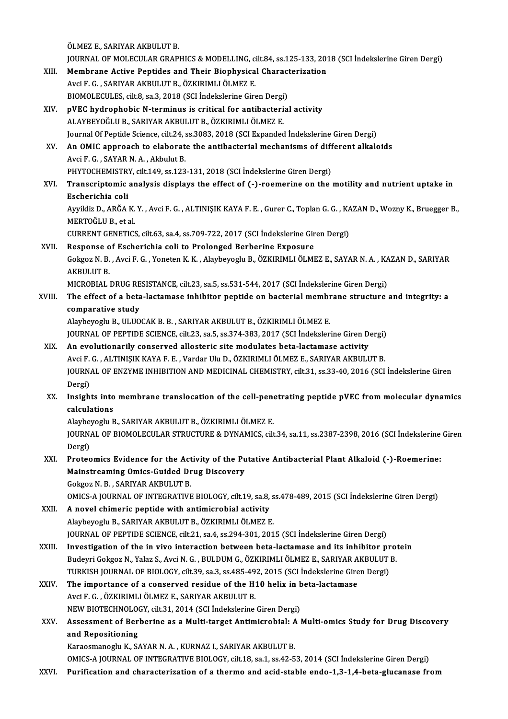ÖLMEZ E., SARIYAR AKBULUT B.

ÖLMEZ E., SARIYAR AKBULUT B.<br>JOURNAL OF MOLECULAR GRAPHICS & MODELLING, cilt.84, ss.125-133, 2018 (SCI İndekslerine Giren Dergi)<br>Mambrana Astiva Pantidas and Thair Bianbysisal Characterization

- ÖLMEZ E., SARIYAR AKBULUT B.<br>JOURNAL OF MOLECULAR GRAPHICS & MODELLING, cilt.84, ss.125-133, 201<br>XIII. Membrane Active Peptides and Their Biophysical Characterization JOURNAL OF MOLECULAR GRAPHICS & MODELLING, c<br>Membrane Active Peptides and Their Biophysica<br>Avci F. G. , SARIYAR AKBULUT B., ÖZKIRIMLI ÖLMEZ E.<br>PIOMOLECULES süb8 se 2–2019 (SSL indekakaine Six Membrane Active Peptides and Their Biophysical Characterization<br>Avci F. G. , SARIYAR AKBULUT B., ÖZKIRIMLI ÖLMEZ E.<br>BIOMOLECULES, cilt.8, sa.3, 2018 (SCI İndekslerine Giren Dergi)
- XIV. pVEC hydrophobic N-terminus is critical for antibacterial activity ALAYBEYOĞLUB.,SARIYARAKBULUTB.,ÖZKIRIMLIÖLMEZ E. Journal Of Peptide Science, cilt.24, ss.3083, 2018 (SCI Expanded Indekslerine Giren Dergi) ALAYBEYOĞLU B., SARIYAR AKBULUT B., ÖZKIRIMLI ÖLMEZ E.<br>Journal Of Peptide Science, cilt.24, ss.3083, 2018 (SCI Expanded Indekslerine Giren Dergi)<br>XV. An OMIC approach to elaborate the antibacterial mechanisms of different
- Journal Of Peptide Science, cilt.24, s<br>An OMIC approach to elaborate<br>Avci F. G. , SAYAR N. A. , Akbulut B.<br>PHYTOCHEMISTPY, silt 140, ss 122 An OMIC approach to elaborate the antibacterial mechanisms of diff<br>Avci F. G. , SAYAR N. A. , Akbulut B.<br>PHYTOCHEMISTRY, cilt.149, ss.123-131, 2018 (SCI İndekslerine Giren Dergi)<br>Transarintamis analysis displays the effect PHYTOCHEMISTRY, cilt 149, ss 123-131, 2018 (SCI Indekslerine Giren Dergi)
- Avci F. G., SAYAR N. A., Akbulut B.<br>PHYTOCHEMISTRY, cilt.149, ss.123-131, 2018 (SCI Indekslerine Giren Dergi)<br>XVI. Transcriptomic analysis displays the effect of (-)-roemerine on the motility and nutrient uptake in<br>Escheri Transcriptomic analysis displays the effect of (-)-roemerine on the motility and nutrient uptake in<br>Escherichia coli<br>Ayyildiz D., ARĞA K.Y. , Avci F. G. , ALTINIŞIK KAYA F. E. , Gurer C., Toplan G. G. , KAZAN D., Wozny K.,

<mark>Escherichia coli</mark><br>Ayyildiz D., ARĞA K.<br>MERTOĞLU B., et al.<br>CUPPENT CENETICS Ayyildiz D., ARĞA K. Y. , Avci F. G. , ALTINIŞIK KAYA F. E. , Gurer C., Toplan G. G. , KA<br>MERTOĞLU B., et al.<br>CURRENT GENETICS, cilt.63, sa.4, ss.709-722, 2017 (SCI İndekslerine Giren Dergi)<br>Beapones of Escharishia soli ta

MERTOĞLU B., et al.<br>CURRENT GENETICS, cilt.63, sa.4, ss.709-722, 2017 (SCI İndekslerine Gir<br>XVII. Response of Escherichia coli to Prolonged Berberine Exposure CURRENT GENETICS, cilt.63, sa.4, ss.709-722, 2017 (SCI İndekslerine Giren Dergi)<br>Response of Escherichia coli to Prolonged Berberine Exposure<br>Gokgoz N. B. , Avci F. G. , Yoneten K. K. , Alaybeyoglu B., ÖZKIRIMLI ÖLMEZ E., Re<mark>sponse o</mark><br>Gokgoz N. B.<br>AKBULUT B.<br>MICROPIAL Gokgoz N. B. , Avci F. G. , Yoneten K. K. , Alaybeyoglu B., ÖZKIRIMLI ÖLMEZ E., SAYAR N. A. , KA<br>AKBULUT B.<br>MICROBIAL DRUG RESISTANCE, cilt.23, sa.5, ss.531-544, 2017 (SCI İndekslerine Giren Dergi)<br>The effect of a bata las AKBULUT B.<br>MICROBIAL DRUG RESISTANCE, cilt.23, sa.5, ss.531-544, 2017 (SCI İndekslerine Giren Dergi)<br>XVIII. The effect of a beta-lactamase inhibitor peptide on bacterial membrane structure and integrity: a<br>comparative

MICROBIAL DRUG RE<br>The effect of a beta<br>comparative study<br>Alayhayosh: B. III IIO The effect of a beta-lactamase inhibitor peptide on bacterial membr<br>comparative study<br>Alaybeyoglu B., ULUOCAK B. B. , SARIYAR AKBULUT B., ÖZKIRIMLI ÖLMEZ E.<br>JOUPMAL OF PEPTIDE SCIENCE silt 22–sa 5–ss 274–292–2017 (SCI Inde comparative study<br>Alaybeyoglu B., ULUOCAK B. B. , SARIYAR AKBULUT B., ÖZKIRIMLI ÖLMEZ E.<br>JOURNAL OF PEPTIDE SCIENCE, cilt.23, sa.5, ss.374-383, 2017 (SCI İndekslerine Giren Dergi)<br>An evolutionarily sonsorved allesteris sit

Alaybeyoglu B., ULUOCAK B. B., SARIYAR AKBULUT B., ÖZKIRIMLI ÖLMEZ E.<br>JOURNAL OF PEPTIDE SCIENCE, cilt.23, sa.5, ss.374-383, 2017 (SCI Indekslerine Giren D.<br>XIX. An evolutionarily conserved allosteric site modulates beta-l JOURNAL OF PEPTIDE SCIENCE, cilt.23, sa.5, ss.374-383, 2017 (SCI İndekslerine Giren Dergi)<br>An evolutionarily conserved allosteric site modulates beta-lactamase activity<br>Avci F. G. , ALTINIŞIK KAYA F. E. , Vardar Ulu D., ÖZ XIX. An evolutionarily conserved allosteric site modulates beta-lactamase activity<br>Avci F. G. , ALTINIŞIK KAYA F. E. , Vardar Ulu D., ÖZKIRIMLI ÖLMEZ E., SARIYAR AKBULUT B.<br>JOURNAL OF ENZYME INHIBITION AND MEDICINAL CHEMIS Avci F. G., ALTINIŞIK KAYA F. E., Vardar Ulu D., ÖZKIRIMLI ÖLMEZ E., SARIYAR AKBULUT B. JOURNAL OF ENZYME INHIBITION AND MEDICINAL CHEMISTRY, cilt.31, ss.33-40, 2016 (SCI İndekslerine Giren<br>Dergi)<br>XX. Insights into membrane translocation of the cell-penetrating peptide pVEC from molecular dynamics<br>calculation

# Dergi)<br>Insights into<br>calculations<br>Alexheverly E Insights into membrane translocation of the cell-pene<br>calculations<br>Alaybeyoglu B., SARIYAR AKBULUT B., ÖZKIRIMLI ÖLMEZ E.<br>JOUPNAL OF PIOMOLECULAR STRUCTURE & DYNAMICS sil

calculations<br>Alaybeyoglu B., SARIYAR AKBULUT B., ÖZKIRIMLI ÖLMEZ E.<br>JOURNAL OF BIOMOLECULAR STRUCTURE & DYNAMICS, cilt.34, sa.11, ss.2387-2398, 2016 (SCI İndekslerine Giren Alaybe<br>JOURN<br>Dergi)<br>Protes JOURNAL OF BIOMOLECULAR STRUCTURE & DYNAMICS, cilt.34, sa.11, ss.2387-2398, 2016 (SCI Indekslerine<br>Dergi)<br>XXI. Proteomics Evidence for the Activity of the Putative Antibacterial Plant Alkaloid (-)-Roemerine:<br>Mainstreaming

## Dergi)<br>Proteomics Evidence for the Activity of the Pu<br>Mainstreaming Omics-Guided Drug Discovery<br>Cokrea N B - SARIVAR AKRULUT P Proteomics Evidence for the Act<br>Mainstreaming Omics-Guided Dr<br>Gokgoz N. B. , SARIYAR AKBULUT B.<br>OMICS A JOURNAL OF INTECRATIVE Mainstreaming Omics-Guided Drug Discovery<br>Gokgoz N. B. , SARIYAR AKBULUT B.<br>OMICS-A JOURNAL OF INTEGRATIVE BIOLOGY, cilt.19, sa.8, ss.478-489, 2015 (SCI İndekslerine Giren Dergi)

Gokgoz N. B., SARIYAR AKBULUT B.<br>OMICS-A JOURNAL OF INTEGRATIVE BIOLOGY, cilt.19, sa.8,<br>XXII. A novel chimeric peptide with antimicrobial activity OMICS-A JOURNAL OF INTEGRATIVE BIOLOGY, cilt.19, sa.8, s<br>A novel chimeric peptide with antimicrobial activity<br>Alaybeyoglu B., SARIYAR AKBULUT B., ÖZKIRIMLI ÖLMEZ E.<br>JOURNAL OF PEPTIDE SCIENCE, cilt.21, sa.4, ss.294, 201, 2 Alaybeyoglu B., SARIYAR AKBULUT B., ÖZKIRIMLI ÖLMEZ E.<br>JOURNAL OF PEPTIDE SCIENCE, cilt.21, sa.4, ss.294-301, 2015 (SCI İndekslerine Giren Dergi) Alaybeyoglu B., SARIYAR AKBULUT B., ÖZKIRIMLI ÖLMEZ E.<br>JOURNAL OF PEPTIDE SCIENCE, cilt.21, sa.4, ss.294-301, 2015 (SCI İndekslerine Giren Dergi)<br>XXIII. Investigation of the in vivo interaction between beta-lactamase and i

- JOURNAL OF PEPTIDE SCIENCE, cilt.21, sa.4, ss.294-301, 2015 (SCI İndekslerine Giren Dergi)<br>Investigation of the in vivo interaction between beta-lactamase and its inhibitor pro<br>Budeyri Gokgoz N., Yalaz S., Avci N. G. , BUL Investigation of the in vivo interaction between beta-lactamase and its inhibitor pr<br>Budeyri Gokgoz N., Yalaz S., Avci N. G. , BULDUM G., ÖZKIRIMLI ÖLMEZ E., SARIYAR AKBULUT<br>TURKISH JOURNAL OF BIOLOGY, cilt.39, sa.3, ss.48 Budeyri Gokgoz N., Yalaz S., Avci N. G., BULDUM G., ÖZKIRIMLI ÖLMEZ E., SARIYAR A<br>TURKISH JOURNAL OF BIOLOGY, cilt.39, sa.3, ss.485-492, 2015 (SCI İndekslerine Gire<br>XXIV. The importance of a conserved residue of the H10 he
- TURKISH JOURNAL OF BIOLOGY, cilt.39, sa.3, ss.485-492, 2015 (SCI İndekslerine Giren Dergi)<br>The importance of a conserved residue of the H10 helix in beta-lactamase<br>Avci F. G. , ÖZKIRIMLI ÖLMEZ E., SARIYAR AKBULUT B.<br>NEW BI The importance of a conserved residue of the H10 helix in b<br>Avci F. G. , ÖZKIRIMLI ÖLMEZ E., SARIYAR AKBULUT B.<br>NEW BIOTECHNOLOGY, cilt.31, 2014 (SCI İndekslerine Giren Dergi)<br>Assessment of Berberine es a Multi tarset Anti Avci F. G. , ÖZKIRIMLI ÖLMEZ E., SARIYAR AKBULUT B.<br>NEW BIOTECHNOLOGY, cilt.31, 2014 (SCI İndekslerine Giren Dergi)<br>XXV. Assessment of Berberine as a Multi-target Antimicrobial: A Multi-omics Study for Drug Discovery<br>a

## NEW BIOTECHNOLOGN<br>Assessment of Bernand Repositioning Assessment of Berberine as a Multi-target Antimicrobial: A<br>and Repositioning<br>Karaosmanoglu K., SAYAR N. A. , KURNAZ I., SARIYAR AKBULUT B.<br>OMICS A JOURNAL OF INTECRATIVE PIOLOCY silt 19 se 1 se 12 E and Repositioning<br>Karaosmanoglu K., SAYAR N. A. , KURNAZ I., SARIYAR AKBULUT B.<br>OMICS-A JOURNAL OF INTEGRATIVE BIOLOGY, cilt.18, sa.1, ss.42-53, 2014 (SCI İndekslerine Giren Dergi)

XXVI. Purification and characterization of a thermo and acid-stable endo-1,3-1,4-beta-glucanase from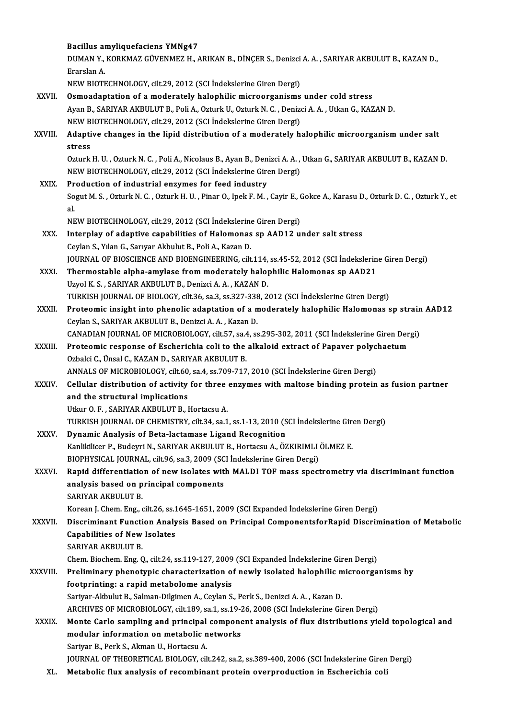|               | Bacillus amyliquefaciens YMNg47                                                                                                               |
|---------------|-----------------------------------------------------------------------------------------------------------------------------------------------|
|               | DUMAN Y., KORKMAZ GÜVENMEZ H., ARIKAN B., DİNÇER S., Denizci A. A., SARIYAR AKBULUT B., KAZAN D.,<br>Erarslan A                               |
|               | NEW BIOTECHNOLOGY, cilt.29, 2012 (SCI İndekslerine Giren Dergi)                                                                               |
| XXVII.        | Osmoadaptation of a moderately halophilic microorganisms under cold stress                                                                    |
|               | Ayan B., SARIYAR AKBULUT B., Poli A., Ozturk U., Ozturk N. C., Denizci A. A., Utkan G., KAZAN D.                                              |
|               | NEW BIOTECHNOLOGY, cilt.29, 2012 (SCI İndekslerine Giren Dergi)                                                                               |
| XXVIII.       | Adaptive changes in the lipid distribution of a moderately halophilic microorganism under salt<br>stress                                      |
|               | Ozturk H. U., Ozturk N. C., Poli A., Nicolaus B., Ayan B., Denizci A. A., Utkan G., SARIYAR AKBULUT B., KAZAN D.                              |
|               | NEW BIOTECHNOLOGY, cilt.29, 2012 (SCI İndekslerine Giren Dergi)                                                                               |
| XXIX.         | Production of industrial enzymes for feed industry                                                                                            |
|               | Sogut M. S., Ozturk N. C., Ozturk H. U., Pinar O., Ipek F. M., Cayir E., Gokce A., Karasu D., Ozturk D. C., Ozturk Y., et<br>al.              |
|               | NEW BIOTECHNOLOGY, cilt.29, 2012 (SCI Indekslerine Giren Dergi)                                                                               |
| XXX.          | Interplay of adaptive capabilities of Halomonas sp AAD12 under salt stress                                                                    |
|               | Ceylan S., Yılan G., Sarıyar Akbulut B., Poli A., Kazan D.                                                                                    |
|               | JOURNAL OF BIOSCIENCE AND BIOENGINEERING, cilt.114, ss.45-52, 2012 (SCI Indekslerine Giren Dergi)                                             |
| XXXI.         | Thermostable alpha-amylase from moderately halophilic Halomonas sp AAD21                                                                      |
|               | Uzyol K. S., SARIYAR AKBULUT B., Denizci A. A., KAZAN D.                                                                                      |
|               | TURKISH JOURNAL OF BIOLOGY, cilt.36, sa.3, ss.327-338, 2012 (SCI İndekslerine Giren Dergi)                                                    |
| XXXII.        | Proteomic insight into phenolic adaptation of a moderately halophilic Halomonas sp strain AAD12                                               |
|               | Ceylan S., SARIYAR AKBULUT B., Denizci A. A., Kazan D.                                                                                        |
|               | CANADIAN JOURNAL OF MICROBIOLOGY, cilt.57, sa.4, ss.295-302, 2011 (SCI İndekslerine Giren Dergi)                                              |
| <b>XXXIII</b> | Proteomic response of Escherichia coli to the alkaloid extract of Papaver polychaetum                                                         |
|               | Ozbalci C., Ünsal C., KAZAN D., SARIYAR AKBULUT B.                                                                                            |
|               | ANNALS OF MICROBIOLOGY, cilt.60, sa.4, ss.709-717, 2010 (SCI Indekslerine Giren Dergi)                                                        |
| <b>XXXIV</b>  | Cellular distribution of activity for three enzymes with maltose binding protein as fusion partner                                            |
|               | and the structural implications                                                                                                               |
|               | Utkur O. F., SARIYAR AKBULUT B., Hortacsu A.                                                                                                  |
|               | TURKISH JOURNAL OF CHEMISTRY, cilt.34, sa.1, ss.1-13, 2010 (SCI İndekslerine Giren Dergi)                                                     |
| <b>XXXV</b>   | Dynamic Analysis of Beta-lactamase Ligand Recognition                                                                                         |
|               | Kanlikilicer P., Budeyri N., SARIYAR AKBULUT B., Hortacsu A., ÖZKIRIMLI ÖLMEZ E.                                                              |
|               | BIOPHYSICAL JOURNAL, cilt.96, sa.3, 2009 (SCI Indekslerine Giren Dergi)                                                                       |
| XXXVI.        | Rapid differentiation of new isolates with MALDI TOF mass spectrometry via discriminant function                                              |
|               | analysis based on principal components                                                                                                        |
|               | SARIYAR AKBULUT B.                                                                                                                            |
|               | Korean J. Chem. Eng., cilt.26, ss.1645-1651, 2009 (SCI Expanded Indekslerine Giren Dergi)                                                     |
| XXXVII.       | Discriminant Function Analysis Based on Principal ComponentsforRapid Discrimination of Metabolic                                              |
|               | <b>Capabilities of New Isolates</b>                                                                                                           |
|               | <b>SARIYAR AKBULUT B.</b>                                                                                                                     |
|               | Chem. Biochem. Eng. Q., cilt.24, ss.119-127, 2009 (SCI Expanded Indekslerine Giren Dergi)                                                     |
| XXXVIII.      | Preliminary phenotypic characterization of newly isolated halophilic microorganisms by                                                        |
|               | footprinting: a rapid metabolome analysis                                                                                                     |
|               | Sariyar-Akbulut B., Salman-Dilgimen A., Ceylan S., Perk S., Denizci A. A., Kazan D.                                                           |
|               | ARCHIVES OF MICROBIOLOGY, cilt.189, sa.1, ss.19-26, 2008 (SCI İndekslerine Giren Dergi)                                                       |
| <b>XXXIX</b>  | Monte Carlo sampling and principal component analysis of flux distributions yield topological and                                             |
|               | modular information on metabolic networks                                                                                                     |
|               | Sariyar B., Perk S., Akman U., Hortacsu A.<br>JOURNAL OF THEORETICAL BIOLOGY, cilt.242, sa.2, ss.389-400, 2006 (SCI Indekslerine Giren Dergi) |
| XL.           | Metabolic flux analysis of recombinant protein overproduction in Escherichia coli                                                             |
|               |                                                                                                                                               |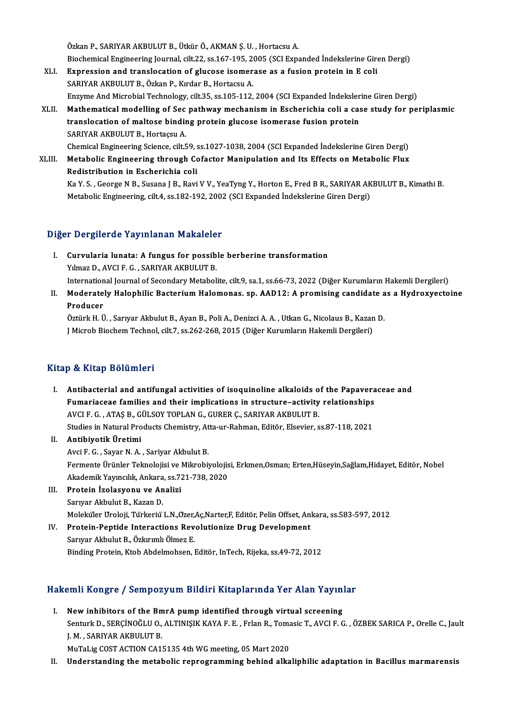Özkan P., SARIYAR AKBULUT B., Ütkür Ö., AKMAN Ş. U., Hortacsu A. Özkan P., SARIYAR AKBULUT B., Ütkür Ö., AKMAN Ş. U. , Hortacsu A.<br>Biochemical Engineering Journal, cilt.22, ss.167-195, 2005 (SCI Expanded İndekslerine Giren Dergi)<br>Eunnessian and translassijan of slusese isemenese es e fu

- XLI. Expression and translocation of glucose isomerase as a fusion protein in E coli Biochemical Engineering Journal, cilt.22, ss.167-195, 2<br>Expression and translocation of glucose isomer<br>SARIYAR AKBULUT B., Özkan P., Kırdar B., Hortacsu A. Expression and translocation of glucose isomerase as a fusion protein in E coli<br>SARIYAR AKBULUT B., Özkan P., Kırdar B., Hortacsu A.<br>Enzyme And Microbial Technology, cilt.35, ss.105-112, 2004 (SCI Expanded İndekslerine Gir
- XLII. Mathematical modelling of Sec pathway mechanism in Escherichia coli a case study for periplasmic Enzyme And Microbial Technology, cilt.35, ss.105-112, 2004 (SCI Expanded İndeksler<br>Mathematical modelling of Sec pathway mechanism in Escherichia coli a cas<br>translocation of maltose binding protein glucose isomerase fusion translocation of maltose binding protein glucose isomerase fusion protein SARIYAR AKBULUT B., Hortaçsu A.

Chemical Engineering Science, cilt, 59, ss.1027-1038, 2004 (SCI Expanded İndekslerine Giren Dergi)

SARIYAR AKBULUT B., Hortaçsu A.<br>Chemical Engineering Science, cilt.59, ss.1027-1038, 2004 (SCI Expanded İndekslerine Giren Dergi)<br>XLIII. Metabolic Engineering through Cofactor Manipulation and Its Effects on Metabolic Flux Chemical Engineering Science, cilt.59, s<br>Metabolic Engineering through Constanting Colist<br>Redistribution in Escherichia coli Metabolic Engineering through Cofactor Manipulation and Its Effects on Metabolic Flux<br>Redistribution in Escherichia coli<br>Ka Y. S. , George N B., Susana J B., Ravi V V., YeaTyng Y., Horton E., Fred B R., SARIYAR AKBULUT B., Redistribution in Escherichia coli<br>Ka Y. S. , George N B., Susana J B., Ravi V V., YeaTyng Y., Horton E., Fred B R., SARIYAR AK<br>Metabolic Engineering, cilt.4, ss.182-192, 2002 (SCI Expanded İndekslerine Giren Dergi)

Metabolic Engineering, cilt.4, ss.182-192, 2002 (SCI Expanded İndekslerine Giren Dergi)<br>Diğer Dergilerde Yayınlanan Makaleler

- Iger Dergilerde Yayınlanan Makaleler<br>I. Curvularia lunata: A fungus for possible berberine transformation<br>Vilmas D. AVCLE C. SARIVAR AKRULUT R Your gives a comparison in the control of the Survey Curvularia lunata: A fungus for possib<br>Yilmaz D., AVCI F. G., SARIYAR AKBULUT B. Yılmaz D., AVCI F. G. , SARIYAR AKBULUT B.<br>International Journal of Secondary Metabolite, cilt.9, sa.1, ss.66-73, 2022 (Diğer Kurumların Hakemli Dergileri)
- Yılmaz D., AVCI F. G. , SARIYAR AKBULUT B.<br>International Journal of Secondary Metabolite, cilt.9, sa.1, ss.66-73, 2022 (Diğer Kurumların Hakemli Dergileri)<br>II. Moderately Halophilic Bacterium Halomonas. sp. AAD12: A pr Internation<br>Moderate<br>Producer<br>Ögtürk H. Ü Moderately Halophilic Bacterium Halomonas. sp. AAD12: A promising candidate a<br>Producer<br>Öztürk H. Ü. , Sarıyar Akbulut B., Ayan B., Poli A., Denizci A. A. , Utkan G., Nicolaus B., Kazan D.<br>J Microb Biochem Technol. silt 7,

Producer<br>Öztürk H. Ü. , Sarıyar Akbulut B., Ayan B., Poli A., Denizci A. A. , Utkan G., Nicolaus B., Kazan D.<br>J Microb Biochem Technol, cilt.7, ss.262-268, 2015 (Diğer Kurumların Hakemli Dergileri)

### Kitap & Kitap Bölümleri

- I. Antibacterial and antifungal activities of isoquinoline alkaloids of the Papaveraceae and Fumariaceae families<br>Antibacterial and antifungal activities of isoquinoline alkaloids of the Papavera<br>Fumariaceae families and their implications in structure–activity relationships<br>AVCLE C. ATAS B. CÜLSOV TOPLAN C. CURER AVCI F. G. , ATAŞ B., GÜLSOY TOPLAN G., GURER Ç., SARIYAR AKBULUT B.<br>Studies in Natural Products Chemistry, Atta-ur-Rahman, Editör, Elsevier, ss.87-118, 2021 Fumariaceae families and their implications in structure–activity relationships<br>AVCI F. G. , ATAŞ B., GÜLSOY TOPLAN G., GURER Ç., SARIYAR AKBULUT B.<br>Studies in Natural Products Chemistry, Atta-ur-Rahman, Editör, Elsevier,
- II. Antibiyotik Üretimi Studies in Natural Products Chemistry, At<br><mark>Antibiyotik Üretimi</mark><br>Avci F. G. , Sayar N. A. , Sariyar Akbulut B.<br>Fermente Ürünler Telmolejisi ve Milrebij Fermente Ürünler Teknolojisi ve Mikrobiyolojisi, Erkmen,Osman; Erten,Hüseyin,Sağlam,Hidayet, Editör, Nobel<br>Akademik Yayıncılık, Ankara, ss.721-738, 2020 Avci F. G. , Sayar N. A. , Sariyar Akbulut B.<br>Fermente Ürünler Teknolojisi ve Mikrobiyolojis<br>Akademik Yayıncılık, Ankara, ss.721-738, 2020<br>Protoin İzolosyonu ve Analizi Fermente Ürünler Teknolojisi ve 1<br>Akademik Yayıncılık, Ankara, ss.77<br>III. Protein İzolasyonu ve Analizi
- Akademik Yayıncılık, Ankara<br><mark>Protein İzolasyonu ve An</mark><br>Sarıyar Akbulut B., Kazan D.<br>Moleküler IIroleji Türkeriy Sarıyar Akbulut B., Kazan D.<br>Moleküler Uroloji, Türkeriü L.N.,Özer,Aç,Narter,F, Editör, Pelin Offset, Ankara, ss.583-597, 2012
- Sarıyar Akbulut B., Kazan D.<br>Moleküler Uroloji, Türkeriü L.N.,Ozer,Aç,Narter,F, Editör, Pelin Offset, An<br>IV. Protein-Peptide Interactions Revolutionize Drug Development<br>Sarurar Akbulut B. Özkanımlı Ölmez E Moleküler Uroloji, Türkeriü L.N.,Özer,<br><mark>Protein-Peptide Interactions Rev</mark><br>Sarıyar Akbulut B., Özkırımlı Ölmez E.<br><sup>Binding Brotein Ktob Abdelmebsen 1</sup> Sarıyar Akbulut B., Özkırımlı Ölmez E.<br>Binding Protein, Ktob Abdelmohsen, Editör, InTech, Rijeka, ss.49-72, 2012

# Binding Protein, Ktob Abdelmonsen, Editor, Intecn, Kijeka, SS.49-72, 2012<br>Hakemli Kongre / Sempozyum Bildiri Kitaplarında Yer Alan Yayınlar

akemli Kongre / Sempozyum Bildiri Kitaplarında Yer Alan Yayın<sup>!</sup><br>I. New inhibitors of the BmrA pump identified through virtual screening<br>Sentual: D. SERCINOČLUO ALTINISIK KAYA E.E. Erlan B. Temseis T. AVCLE C New inhibitors of the BmrA pump identified through virtual screening<br>Senturk D., SERÇİNOĞLU O., ALTINIŞIK KAYA F. E. , Frlan R., Tomasic T., AVCI F. G. , ÖZBEK SARICA P., Orelle C., Jault J.M. ,SARIYARAKBULUTB.

MuTaLig COST ACTION CA15135 4th WG meeting, 05 Mart 2020

II. Understanding the metabolic reprogramming behind alkaliphilic adaptation in Bacillus marmarensis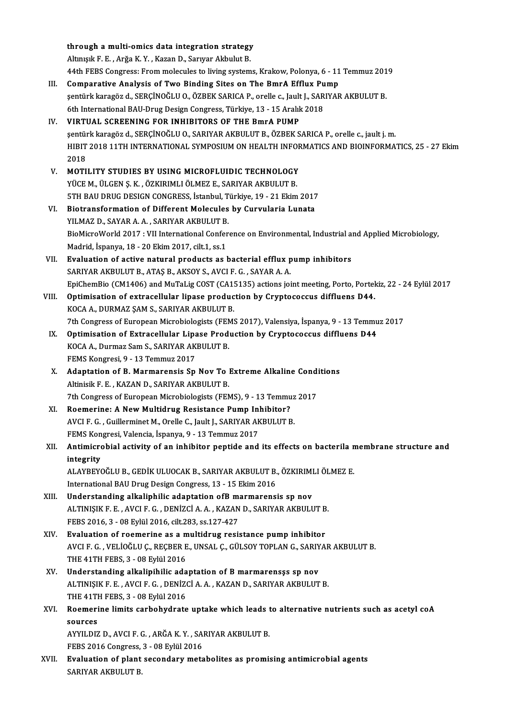|       | through a multi-omics data integration strategy                                                           |
|-------|-----------------------------------------------------------------------------------------------------------|
|       | Altınışık F. E., Arğa K. Y., Kazan D., Sarıyar Akbulut B.                                                 |
|       | 44th FEBS Congress: From molecules to living systems, Krakow, Polonya, 6 - 11 Temmuz 2019                 |
| Ш.    | Comparative Analysis of Two Binding Sites on The BmrA Efflux Pump                                         |
|       | şentürk karagöz d., SERÇİNOĞLU O., ÖZBEK SARICA P., orelle c., Jault J., SARIYAR AKBULUT B.               |
|       |                                                                                                           |
|       | 6th International BAU-Drug Design Congress, Türkiye, 13 - 15 Aralık 2018                                  |
| IV.   | VIRTUAL SCREENING FOR INHIBITORS OF THE BmrA PUMP                                                         |
|       | şentürk karagöz d., SERÇİNOĞLU O., SARIYAR AKBULUT B., ÖZBEK SARICA P., orelle c., jault j. m.            |
|       | HIBIT 2018 11TH INTERNATIONAL SYMPOSIUM ON HEALTH INFORMATICS AND BIOINFORMATICS, 25 - 27 Ekim            |
|       | 2018                                                                                                      |
| V.    | MOTILITY STUDIES BY USING MICROFLUIDIC TECHNOLOGY                                                         |
|       | YÜCE M., ÜLGEN Ş. K., ÖZKIRIMLI ÖLMEZ E., SARIYAR AKBULUT B.                                              |
|       | 5TH BAU DRUG DESIGN CONGRESS, İstanbul, Türkiye, 19 - 21 Ekim 2017                                        |
| VI.   | Biotransformation of Different Molecules by Curvularia Lunata                                             |
|       | YILMAZ D., SAYAR A. A., SARIYAR AKBULUT B.                                                                |
|       | BioMicroWorld 2017 : VII International Conference on Environmental, Industrial and Applied Microbiology,  |
|       | Madrid, İspanya, 18 - 20 Ekim 2017, cilt 1, ss.1                                                          |
| VII.  | Evaluation of active natural products as bacterial efflux pump inhibitors                                 |
|       | SARIYAR AKBULUT B., ATAŞ B., AKSOY S., AVCI F. G., SAYAR A. A.                                            |
|       | EpiChemBio (CM1406) and MuTaLig COST (CA15135) actions joint meeting, Porto, Portekiz, 22 - 24 Eylül 2017 |
| VIII. | Optimisation of extracellular lipase production by Cryptococcus diffluens D44.                            |
|       | KOCA A., DURMAZ ŞAM S., SARIYAR AKBULUT B.                                                                |
|       | 7th Congress of European Microbiologists (FEMS 2017), Valensiya, İspanya, 9 - 13 Temmuz 2017              |
| IX.   | Optimisation of Extracellular Lipase Production by Cryptococcus diffluens D44                             |
|       | KOCA A., Durmaz Sam S., SARIYAR AKBULUT B.                                                                |
|       | FEMS Kongresi, 9 - 13 Temmuz 2017                                                                         |
| X.    | Adaptation of B. Marmarensis Sp Nov To Extreme Alkaline Conditions                                        |
|       | Altinisik F. E., KAZAN D., SARIYAR AKBULUT B.                                                             |
|       | 7th Congress of European Microbiologists (FEMS), 9 - 13 Temmuz 2017                                       |
| XI.   | Roemerine: A New Multidrug Resistance Pump Inhibitor?                                                     |
|       | AVCI F. G., Guillerminet M., Orelle C., Jault J., SARIYAR AKBULUT B.                                      |
|       | FEMS Kongresi, Valencia, İspanya, 9 - 13 Temmuz 2017                                                      |
|       |                                                                                                           |
| XII.  | Antimicrobial activity of an inhibitor peptide and its effects on bacterila membrane structure and        |
|       | integrity                                                                                                 |
|       | ALAYBEYOĞLU B., GEDİK ULUOCAK B., SARIYAR AKBULUT B., ÖZKIRIMLI ÖLMEZ E.                                  |
|       | International BAU Drug Design Congress, 13 - 15 Ekim 2016                                                 |
| XIII. | Understanding alkaliphilic adaptation ofB marmarensis sp nov                                              |
|       | ALTINIŞIK F. E., AVCI F. G., DENİZCİ A. A., KAZAN D., SARIYAR AKBULUT B.                                  |
|       | FEBS 2016, 3 - 08 Eylül 2016, cilt 283, ss 127-427                                                        |
| XIV.  | Evaluation of roemerine as a multidrug resistance pump inhibitor                                          |
|       | AVCI F. G. , VELİOĞLU Ç., REÇBER E., UNSAL Ç., GÜLSOY TOPLAN G., SARIYAR AKBULUT B.                       |
|       | THE 41TH FEBS, 3 - 08 Eylül 2016                                                                          |
| XV.   | Understanding alkalipihilic adaptation of B marmarensss sp nov                                            |
|       | ALTINIŞIK F. E., AVCI F. G., DENİZCİ A. A., KAZAN D., SARIYAR AKBULUT B.                                  |
|       | THE 41TH FEBS, 3 - 08 Eylül 2016                                                                          |
| XVI.  | Roemerine limits carbohydrate uptake which leads to alternative nutrients such as acetyl coA              |
|       | sources                                                                                                   |
|       | AYYILDIZ D., AVCI F. G., ARĞA K. Y., SARIYAR AKBULUT B.                                                   |
|       | FEBS 2016 Congress, 3 - 08 Eylül 2016                                                                     |
| XVII. | Evaluation of plant secondary metabolites as promising antimicrobial agents                               |
|       | SARIYAR AKBULUT B.                                                                                        |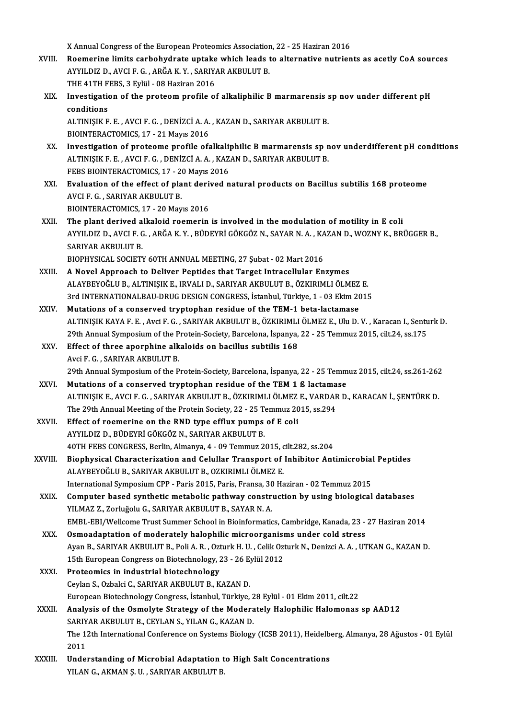X Annual Congress of the European Proteomics Association, 22 - 25 Haziran 2016<br>Peemerine limits canholy drate untake which leads to alternative nutrien

- XVIII. Roemerine limits carbohydrate uptake which leads to alternative nutrients as acetly CoA sources X Annual Congress of the European Proteomics Association<br>Roemerine limits carbohydrate uptake which leads t<br>AYYILDIZ D., AVCI F. G. , ARĞA K. Y. , SARIYAR AKBULUT B.<br>THE 41TH EERS 2 Erlül - 09 Hariran 2016 AYYILDIZ D., AVCI F. G. , ARĞA K. Y. , SARIYAR AKBULUT B.<br>THE 41TH FEBS. 3 Evlül - 08 Haziran 2016 AYYILDIZ D., AVCI F. G. , ARĞA K. Y. , SARIYAR AKBULUT B.<br>THE 41TH FEBS, 3 Eylül - 08 Haziran 2016<br>XIX. Investigation of the proteom profile of alkaliphilic B marmarensis sp nov under different pH<br>conditions
	- THE 41TH F<br>Investigations<br>conditions<br>ALTIMISIV F Investigation of the proteom profile of alkaliphilic B marmarensis :<br>conditions<br>ALTINIŞIK F. E. , AVCI F. G. , DENİZCİ A. A. , KAZAN D., SARIYAR AKBULUT B.<br>PIOINTERACTOMICS 17 - 21 Maris 2016

conditions<br>ALTINIȘIK F. E. , AVCI F. G. , DENİZCİ A. A.<br>BIOINTERACTOMICS, 17 - 21 Mayıs 2016<br>Investigation of proteome profile ofs

- ALTINIȘIK F. E. , AVCI F. G. , DENIZCI A. A. , KAZAN D., SARIYAR AKBULUT B.<br>BIOINTERACTOMICS, 17 21 Mayıs 2016<br>XX. Investigation of proteome profile ofalkaliphilic B marmarensis sp nov underdifferent pH conditions<br>ALTINI BIOINTERACTOMICS, 17 - 21 Mayıs 2016<br>Investigation of proteome profile ofalkaliphilic B marmarensis sp n<br>ALTINIŞIK F. E. , AVCI F. G. , DENİZCİ A. A. , KAZAN D., SARIYAR AKBULUT B.<br>FERS PIOINTERACTOMICS 17 - 20 Mayıs 2016 Investigation of proteome profile ofalkali<br>ALTINIȘIK F. E. , AVCI F. G. , DENİZCİ A. A. , KAZ<br>FEBS BIOINTERACTOMICS, 17 - 20 Mayıs 2016<br>Fualuation of the offect of plant derived n ALTINIȘIK F. E. , AVCI F. G. , DENİZCİ A. A. , KAZAN D., SARIYAR AKBULUT B.<br>FEBS BIOINTERACTOMICS, 17 - 20 Mayıs 2016<br>XXI. Evaluation of the effect of plant derived natural products on Bacillus subtilis 168 proteome<br>AVCI F FEBS BIOINTERACTOMICS, 17 - 20 Mayıs 2016
- BIOINTERACTOMICS, 17 20 Mayıs 2016
- XXII. The plant derived alkaloid roemerin is involved in the modulation of motility in E coli BIOINTERACTOMICS, 17 - 20 Mayıs 2016<br>The plant derived alkaloid roemerin is involved in the modulation of motility in E coli<br>AYYILDIZ D., AVCI F. G. , ARĞA K. Y. , BÜDEYRİ GÖKGÖZ N., SAYAR N. A. , KAZAN D., WOZNY K., BRÜGG The plant derived a<br>AYYILDIZ D., AVCI F. C<br>SARIYAR AKBULUT B.<br>PIOPHYSICAL SOCIETY AYYILDIZ D., AVCI F. G. , ARĞA K. Y. , BÜDEYRİ GÖKGÖZ N., SAYAR N. A. , KA<br>SARIYAR AKBULUT B.<br>BIOPHYSICAL SOCIETY 60TH ANNUAL MEETING, 27 Şubat - 02 Mart 2016<br>A Naval Annrasab ta Daliyar Bantidas that Tarsat Intrasallular SARIYAR AKBULUT B.<br>BIOPHYSICAL SOCIETY 60TH ANNUAL MEETING, 27 Şubat - 02 Mart 2016<br>XXIII. A Novel Approach to Deliver Peptides that Target Intracellular Enzymes

- BIOPHYSICAL SOCIETY 60TH ANNUAL MEETING, 27 Şubat 02 Mart 2016<br>A Novel Approach to Deliver Peptides that Target Intracellular Enzymes<br>ALAYBEYOĞLU B., ALTINIŞIK E., IRVALI D., SARIYAR AKBULUT B., ÖZKIRIMLI ÖLMEZ E.<br>2rd IN A Novel Approach to Deliver Peptides that Target Intracellular Enzymes<br>ALAYBEYOĞLU B., ALTINIŞIK E., IRVALI D., SARIYAR AKBULUT B., ÖZKIRIMLI ÖLMEZ E.<br>3rd INTERNATIONALBAU-DRUG DESIGN CONGRESS, İstanbul, Türkiye, 1 - 03 Ek ALAYBEYOĞLU B., ALTINIŞIK E., IRVALI D., SARIYAR AKBULUT B., ÖZKIRIMLI ÖLMEZ<br>3rd INTERNATIONALBAU-DRUG DESIGN CONGRESS, İstanbul, Türkiye, 1 - 03 Ekim 20<br>XXIV. Mutations of a conserved tryptophan residue of the TEM-1 beta-
- 3rd INTERNATIONALBAU-DRUG DESIGN CONGRESS, İstanbul, Türkiye, 1 03 Ekim 2015<br>Mutations of a conserved tryptophan residue of the TEM-1 beta-lactamase<br>ALTINIŞIK KAYA F. E. , Avci F. G. , SARIYAR AKBULUT B., ÖZKIRIMLI ÖLMEZ Mutations of a conserved tryptophan residue of the TEM-1 beta-lactamase<br>ALTINIŞIK KAYA F. E. , Avci F. G. , SARIYAR AKBULUT B., ÖZKIRIMLI ÖLMEZ E., Ulu D. V. , Karacan I., Sentu<br>29th Annual Symposium of the Protein-Society ALTINIŞIK KAYA F. E., Avci F. G., SARIYAR AKBULUT B., ÖZKIRIMLI<br>29th Annual Symposium of the Protein-Society, Barcelona, İspanya,<br>XXV. Effect of three aporphine alkaloids on bacillus subtilis 168
- 29th Annual Symposium of the P<br>Effect of three aporphine alk<br>Avci F. G. , SARIYAR AKBULUT B.<br>20th Annual Symposium of the B Effect of three aporphine alkaloids on bacillus subtilis 168<br>Avci F. G. , SARIYAR AKBULUT B.<br>29th Annual Symposium of the Protein-Society, Barcelona, İspanya, 22 - 25 Temmuz 2015, cilt.24, ss.261-262<br>Mutations of a consenu Avci F. G., SARIYAR AKBULUT B.<br>29th Annual Symposium of the Protein-Society, Barcelona, İspanya, 22 - 25 Temm<br>XXVI. Mutations of a conserved tryptophan residue of the TEM 1 ß lactamase
- 29th Annual Symposium of the Protein-Society, Barcelona, İspanya, 22 25 Temmuz 2015, cilt.24, ss.261-262<br>Mutations of a conserved tryptophan residue of the TEM 1 ß lactamase<br>ALTINIŞIK E., AVCI F. G. , SARIYAR AKBULUT B., Mutations of a conserved tryptophan residue of the TEM 1 ß lactama<br>ALTINIŞIK E., AVCI F. G. , SARIYAR AKBULUT B., ÖZKIRIMLI ÖLMEZ E., VARDAF<br>The 29th Annual Meeting of the Protein Society, 22 - 25 Temmuz 2015, ss.294<br>Effec ALTINIŞIK E., AVCI F. G., SARIYAR AKBULUT B., ÖZKIRIMLI ÖLMEZ<br>The 29th Annual Meeting of the Protein Society, 22 - 25 Temmuz 20<br>XXVII. Effect of roemerine on the RND type efflux pumps of E coli
- The 29th Annual Meeting of the Protein Society, 22 25 Temmuz 2015, ss.294<br>Effect of roemerine on the RND type efflux pumps of E coli<br>AYYILDIZ D., BÜDEYRİ GÖKGÖZ N., SARIYAR AKBULUT B. 40TH FEBS CONGRESS, Berlin, Almanya, 4 - 09 Temmuz 2015, cilt.282, ss.204 AYYILDIZ D., BÜDEYRİ GÖKGÖZ N., SARIYAR AKBULUT B.<br>40TH FEBS CONGRESS, Berlin, Almanya, 4 - 09 Temmuz 2015, cilt.282, ss.204<br>XXVIII. Biophysical Characterization and Celullar Transport of Inhibitor Antimicrobial Peptides<br>A
- ALAYBEYOĞLU B., SARIYAR AKBULUT B., OZKIRIMLI ÖLMEZ E.<br>International Symposium CPP Paris 2015, Paris, Fransa, 30 Haziran 02 Temmuz 2015 Biophysical Characterization and Celullar Transport of Inhibitor Antimicrobial<br>ALAYBEYOĞLU B., SARIYAR AKBULUT B., OZKIRIMLI ÖLMEZ E.<br>International Symposium CPP - Paris 2015, Paris, Fransa, 30 Haziran - 02 Temmuz 2015<br>Com
- XXIX. Computer based synthetic metabolic pathway construction by using biological databases YILMAZ Z., Zorluğolu G., SARIYAR AKBULUT B., SAYAR N. A. Computer based synthetic metabolic pathway construction by using biological databases<br>YILMAZ Z., Zorluğolu G., SARIYAR AKBULUT B., SAYAR N. A.<br>EMBL-EBI/Wellcome Trust Summer School in Bioinformatics, Cambridge, Kanada, 23
- YILMAZ Z., Zorluğolu G., SARIYAR AKBULUT B., SAYAR N. A.<br>EMBL-EBI/Wellcome Trust Summer School in Bioinformatics, Cambridge, Kanada, 23 -<br>XXX. Osmoadaptation of moderately halophilic microorganisms under cold stress<br>Avan B EMBL-EBI/Wellcome Trust Summer School in Bioinformatics, Cambridge, Kanada, 23 - 27 Haziran 2014<br>Osmoadaptation of moderately halophilic microorganisms under cold stress<br>Ayan B., SARIYAR AKBULUT B., Poli A. R. , Ozturk H. Osmoadaptation of moderately halophilic microorganism<br>Ayan B., SARIYAR AKBULUT B., Poli A. R. , Ozturk H. U. , Celik Ozt<br>15th European Congress on Biotechnology, 23 - 26 Eylül 2012<br>Proteomics in industrial biotechnology. Ayan B., SARIYAR AKBULUT B., Poli A. R., Ozt<br>15th European Congress on Biotechnology, 2<br>XXXI. Proteomics in industrial biotechnology<br>Covian S. Orbaki G. SARIVAR AVBULUT B. V.
- 15th European Congress on Biotechnology, 23 26 Eylül 2012<br>Proteomics in industrial biotechnology<br>Ceylan S., Ozbalci C., SARIYAR AKBULUT B., KAZAN D. Proteomics in industrial biotechnology<br>Ceylan S., Ozbalci C., SARIYAR AKBULUT B., KAZAN D.<br>European Biotechnology Congress, İstanbul, Türkiye, 28 Eylül - 01 Ekim 2011, cilt.22<br>Analysis of the Osmalyte Strategy of the Moder
- XXXII. Analysis of the Osmolyte Strategy of the Moderately Halophilic Halomonas sp AAD12<br>SARIYAR AKBULUT B., CEYLAN S., YILAN G., KAZAN D. European Biotechnology Congress, İstanbul, Türkiye, 2<br>Analysis of the Osmolyte Strategy of the Modera<br>SARIYAR AKBULUT B., CEYLAN S., YILAN G., KAZAN D.<br>The 12th International Conference on Systems Biology Analysis of the Osmolyte Strategy of the Moderately Halophilic Halomonas sp AAD12<br>SARIYAR AKBULUT B., CEYLAN S., YILAN G., KAZAN D.<br>The 12th International Conference on Systems Biology (ICSB 2011), Heidelberg, Almanya, 28 SARIY<br>The 1:<br>2011<br>Under The 12th International Conference on Systems Biology (ICSB 2011), Heidelb<br>2011<br>XXXIII. Understanding of Microbial Adaptation to High Salt Concentrations<br>XII AN C AKMAN S.U. SARIVAR AKRULUT B
- 2011<br>Understanding of Microbial Adaptation to High Salt Concentrations<br>YILAN G., AKMAN S. U. , SARIYAR AKBULUT B.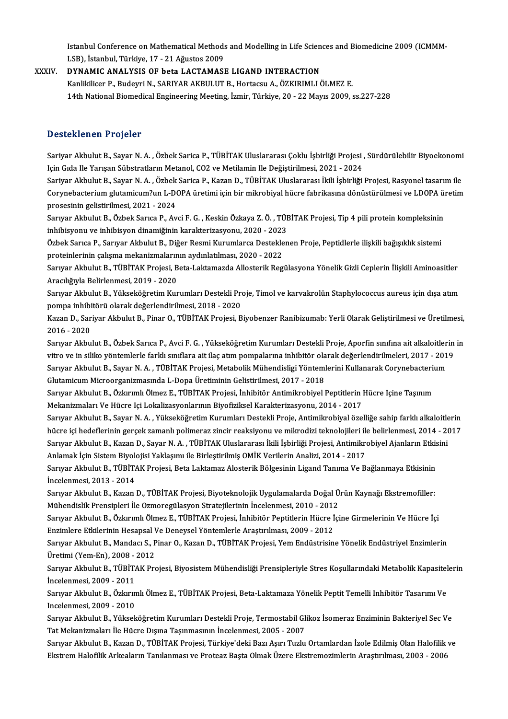Istanbul Conference on Mathematical Methods and Modelling in Life Sciences and Biomedicine 2009 (ICMMM-<br>LSB), Istanbul, Türkiye 17 , 21 Ağustos 2009 Istanbul Conference on Mathematical Methods<br>LSB), İstanbul, Türkiye, 17 - 21 Ağustos 2009<br>DYNAMIC ANALYSIS OF beta LACTAMASI Istanbul Conference on Mathematical Methods and Modelling in Life Scien<br>LSB), İstanbul, Türkiye, 17 - 21 Ağustos 2009<br>XXXIV. DYNAMIC ANALYSIS OF beta LACTAMASE LIGAND INTERACTION<br>Kaplitlison B. Budovni N. SARIYAR AKBULUT B

LSB), İstanbul, Türkiye, 17 - 21 Ağustos 2009<br>DYNAMIC ANALYSIS OF beta LACTAMASE LIGAND INTERACTION<br>Kanlikilicer P., Budeyri N., SARIYAR AKBULUT B., Hortacsu A., ÖZKIRIMLI ÖLMEZ E. 14th National Biomedical Engineering Meeting, İzmir, Türkiye, 20 - 22 Mayıs 2009, ss.227-228

### Desteklenen Projeler

Desteklenen Projeler<br>Sariyar Akbulut B., Sayar N. A. , Özbek Sarica P., TÜBİTAK Uluslararası Çoklu İşbirliği Projesi , Sürdürülebilir Biyoekonomi<br>Jain Cida Ile Yarıcan Sübetratların Matanel, CO2 ve Matilamin Ile Değiştiril D ODUMUMUM I I OJULUI<br>Sariyar Akbulut B., Sayar N. A. , Özbek Sarica P., TÜBİTAK Uluslararası Çoklu İşbirliği Projesi ,<br>Için Gıda Ile Yarışan Sübstratların Metanol, CO2 ve Metilamin Ile Değiştirilmesi, 2021 - 2024<br>Sariyar Sariyar Akbulut B., Sayar N. A. , Özbek Sarica P., TÜBİTAK Uluslararası Çoklu İşbirliği Projesi , Sürdürülebilir Biyoekonomi<br>Için Gıda Ile Yarışan Sübstratların Metanol, CO2 ve Metilamin Ile Değiştirilmesi, 2021 - 2024<br>Sar

Için Gıda Ile Yarışan Sübstratların Metanol, CO2 ve Metilamin Ile Değiştirilmesi, 2021 - 2024<br>Sariyar Akbulut B., Sayar N. A. , Özbek Sarica P., Kazan D., TÜBİTAK Uluslararası İkili İşbirliği Projesi, Rasyonel tasarım ile<br> Sariyar Akbulut B., Sayar N. A. , Özbek<br>Corynebacterium glutamicum?un L-DO<br>prosesinin gelistirilmesi, 2021 - 2024<br>Sarvrar Althulut B. Özbek Sarves B. Av Corynebacterium glutamicum?un L-DOPA üretimi için bir mikrobiyal hücre fabrikasına dönüstürülmesi ve LDOPA ün<br>prosesinin gelistirilmesi, 2021 - 2024<br>Sarıyar Akbulut B., Özbek Sarıca P., Avci F. G. , Keskin Özkaya Z. Ö. , T

prosesinin gelistirilmesi, 2021 - 2024<br>Sarıyar Akbulut B., Özbek Sarıca P., Avci F. G. , Keskin Özkaya Z. Ö. , TÜE<br>inhibisyonu ve inhibisyon dinamiğinin karakterizasyonu, 2020 - 2023<br>Özbek Sarıca B. Sarıyar Akbulut B. Diğe Sarıyar Akbulut B., Özbek Sarıca P., Avci F. G. , Keskin Özkaya Z. Ö. , TÜBİTAK Projesi, Tip 4 pili protein kompleksinin<br>inhibisyonu ve inhibisyon dinamiğinin karakterizasyonu, 2020 - 2023<br>Özbek Sarıca P., Sarıyar Akbulut

inhibisyonu ve inhibisyon dinamiğinin karakterizasyonu, 2020 - 2023<br>Özbek Sarıca P., Sarıyar Akbulut B., Diğer Resmi Kurumlarca Destekle<br>proteinlerinin çalışma mekanizmalarının aydınlatılması, 2020 - 2022<br>Saruar Althulut B

Özbek Sarıca P., Sarıyar Akbulut B., Diğer Resmi Kurumlarca Desteklenen Proje, Peptidlerle ilişkili bağışıklık sistemi<br>proteinlerinin çalışma mekanizmalarının aydınlatılması, 2020 - 2022<br>Sarıyar Akbulut B., TÜBİTAK Projesi proteinlerinin çalışma mekanizmaların<br>Sarıyar Akbulut B., TÜBİTAK Projesi, B<br>Aracılığıyla Belirlenmesi, 2019 - 2020<br>Sarurar Akbulut B. Yükseköğretim Kur Sarıyar Akbulut B., TÜBİTAK Projesi, Beta-Laktamazda Allosterik Regülasyona Yönelik Gizli Ceplerin İlişkili Aminoasitler<br>Aracılığıyla Belirlenmesi, 2019 - 2020<br>Sarıyar Akbulut B., Yükseköğretim Kurumları Destekli Proje, Ti

Aracılığıyla Belirlenmesi, 2019 - 2020<br>Sarıyar Akbulut B., Yükseköğretim Kurumları Destekli Pro<br>pompa inhibitörü olarak değerlendirilmesi, 2018 - 2020<br>Karan D. Sariyar Akbulut B. Binar O. TÜBİTAK Projesi, B Sarıyar Akbulut B., Yükseköğretim Kurumları Destekli Proje, Timol ve karvakrolün Staphylococcus aureus için dışa atım<br>pompa inhibitörü olarak değerlendirilmesi, 2018 - 2020<br>Kazan D., Sariyar Akbulut B., Pinar O., TÜBİTAK P

pompa inhibi<br>Kazan D., Sar<br>2016 - 2020<br>Sarwar Akbu Kazan D., Sariyar Akbulut B., Pinar O., TÜBİTAK Projesi, Biyobenzer Ranibizumab: Yerli Olarak Geliştirilmesi ve Üretilmesi,<br>2016 - 2020<br>Sarıyar Akbulut B., Özbek Sarıca P., Avci F. G. , Yükseköğretim Kurumları Destekli Pro

2016 - 2020<br>Sarıyar Akbulut B., Özbek Sarıca P., Avci F. G. , Yükseköğretim Kurumları Destekli Proje, Aporfin sınıfına ait alkaloitlerin in<br>vitro ve in siliko yöntemlerle farklı sınıflara ait ilaç atım pompalarına inhibitö Sarıyar Akbulut B., Özbek Sarıca P., Avci F. G. , Yükseköğretim Kurumları Destekli Proje, Aporfin sınıfına ait alkaloitleri<br>vitro ve in siliko yöntemlerle farklı sınıflara ait ilaç atım pompalarına inhibitör olarak değerle vitro ve in siliko yöntemlerle farklı sınıflara ait ilaç atım pompalarına inhibitör ola<br>Sarıyar Akbulut B., Sayar N. A. , TÜBİTAK Projesi, Metabolik Mühendisligi Yönteml<br>Glutamicum Microorganizmasında L-Dopa Üretiminin Gel Sarıyar Akbulut B., Sayar N. A. , TÜBİTAK Projesi, Metabolik Mühendisligi Yöntemlerini Kullanarak Corynebacteri<br>Glutamicum Microorganizmasında L-Dopa Üretiminin Gelistirilmesi, 2017 - 2018<br>Sarıyar Akbulut B., Özkırımlı Ölm

Glutamicum Microorganizmasında L-Dopa Üretiminin Gelistirilmesi, 2017 - 2018<br>Sarıyar Akbulut B., Özkırımlı Ölmez E., TÜBİTAK Projesi, İnhibitör Antimikrobiyel Peptitlerin Hücre Içine Taşınım<br>Mekanizmaları Ve Hücre Içi Loka Sarıyar Akbulut B., Özkırımlı Ölmez E., TÜBİTAK Projesi, İnhibitör Antimikrobiyel Peptitlerin Hücre Içine Taşınım<br>Mekanizmaları Ve Hücre Içi Lokalizasyonlarının Biyofiziksel Karakterizasyonu, 2014 - 2017<br>Sarıyar Akbulut B.

Mekanizmaları Ve Hücre Içi Lokalizasyonlarının Biyofiziksel Karakterizasyonu, 2014 - 2017<br>Sarıyar Akbulut B., Sayar N. A. , Yükseköğretim Kurumları Destekli Proje, Antimikrobiyal özelliğe sahip farklı alkaloitlerin<br>hücre i Sarıyar Akbulut B., Sayar N. A. , Yükseköğretim Kurumları Destekli Proje, Antimikrobiyal özelliğe sahip farklı alkaloitle<br>hücre içi hedeflerinin gerçek zamanlı polimeraz zincir reaksiyonu ve mikrodizi teknolojileri ile bel hücre içi hedeflerinin gerçek zamanlı polimeraz zincir reaksiyonu ve mikrodizi teknolojileri ile belirlenmesi, 2014 - 2017<br>Sarıyar Akbulut B., Kazan D., Sayar N. A. , TÜBİTAK Uluslararası İkili İşbirliği Projesi, Antimikro Sarıyar Akbulut B., Kazan D., Sayar N. A. , TÜBİTAK Uluslararası İkili İşbirliği Projesi, Antimikrobiyel Ajanların Etkis<br>Anlamak İçin Sistem Biyolojisi Yaklaşımı ile Birleştirilmiş OMİK Verilerin Analizi, 2014 - 2017<br>Sarıy

Anlamak İçin Sistem Biyol<br>Sarıyar Akbulut B., TÜBİT*l*<br>İncelenmesi, 2013 - 2014<br>Sarurar Akbulut B., Kazan Sarıyar Akbulut B., TÜBİTAK Projesi, Beta Laktamaz Alosterik Bölgesinin Ligand Tanıma Ve Bağlanmaya Etkisinin<br>İncelenmesi, 2013 - 2014<br>Sarıyar Akbulut B., Kazan D., TÜBİTAK Projesi, Biyoteknolojik Uygulamalarda Doğal Ürün

İncelenmesi, 2013 - 2014<br>Sarıyar Akbulut B., Kazan D., TÜBİTAK Projesi, Biyoteknolojik Uygulamalarda Doğal Ürün Kaynağı Ekstremofiller:<br>Mühendislik Prensipleri İle Ozmoregülasyon Stratejilerinin İncelenmesi, 2010 - 2012 Sarıyar Akbulut B., Kazan D., TÜBİTAK Projesi, Biyoteknolojik Uygulamalarda Doğal Ürün Kaynağı Ekstremofiller:<br>Mühendislik Prensipleri İle Ozmoregülasyon Stratejilerinin İncelenmesi, 2010 - 2012<br>Sarıyar Akbulut B., Özkırım

Mühendislik Prensipleri İle Ozmoregülasyon Stratejilerinin İncelenmesi, 2010 - 2012<br>Sarıyar Akbulut B., Özkırımlı Ölmez E., TÜBİTAK Projesi, İnhibitör Peptitlerin Hücre İ<br>Enzimlere Etkilerinin Hesapsal Ve Deneysel Yöntemle Sarıyar Akbulut B., Özkırımlı Ölmez E., TÜBİTAK Projesi, İnhibitör Peptitlerin Hücre İçine Girmelerinin Ve Hücre İçi<br>Enzimlere Etkilerinin Hesapsal Ve Deneysel Yöntemlerle Araştırılması, 2009 - 2012<br>Sarıyar Akbulut B., Man

Enzimlere Etkilerinin Hesapsal Ve Deneysel Yöntemlerle Araştırılması, 2009 - 2012<br>Sarıyar Akbulut B., Mandacı S., Pinar O., Kazan D., TÜBİTAK Projesi, Yem Endüstrisine Yönelik Endüstriyel Enzimlerin Üretimi (Yem-En), 2008 - 2012

Sarıyar Akbulut B., TÜBİTAK Projesi, Biyosistem Mühendisliği Prensipleriyle Stres Koşullarındaki Metabolik Kapasitelerin<br>İncelenmesi. 2009 - 2011 Sarıyar Akbulut B., TÜBİTAK Projesi, Biyosistem Mühendisliği Prensipleriyle Stres Koşullarındaki Metabolik Kapasitel<br>İncelenmesi, 2009 - 2011<br>Sarıyar Akbulut B., Özkırımlı Ölmez E., TÜBİTAK Projesi, Beta-Laktamaza Yönelik

İncelenmesi, 2009 - 2011<br>Sarıyar Akbulut B., Özkırın<br>Incelenmesi, 2009 - 2010<br>Sarurar Akbulut B., Yüksel Sarıyar Akbulut B., Özkırımlı Ölmez E., TÜBİTAK Projesi, Beta-Laktamaza Yönelik Peptit Temelli Inhibitör Tasarımı Ve<br>Incelenmesi, 2009 - 2010<br>Sarıyar Akbulut B., Yükseköğretim Kurumları Destekli Proje, Termostabil Glikoz İ

Incelenmesi, 2009 - 2010<br>Sarıyar Akbulut B., Yükseköğretim Kurumları Destekli Proje, Termostabil Glikoz İsomeraz Enziminin Bakteriyel Sec Ve<br>Tat Mekanizmaları İle Hücre Dışına Taşınmasının İncelenmesi, 2005 - 2007 Sarıyar Akbulut B., Yükseköğretim Kurumları Destekli Proje, Termostabil Glikoz İsomeraz Enziminin Bakteriyel Sec Ve<br>Tat Mekanizmaları İle Hücre Dışına Taşınmasının İncelenmesi, 2005 - 2007<br>Sarıyar Akbulut B., Kazan D., TÜB

Tat Mekanizmaları İle Hücre Dışına Taşınmasının İncelenmesi, 2005 - 2007<br>Sarıyar Akbulut B., Kazan D., TÜBİTAK Projesi, Türkiye'deki Bazı Aşırı Tuzlu Ortamlardan İzole Edilmiş Olan Halofilik<br>Ekstrem Halofilik Arkeaların Ta